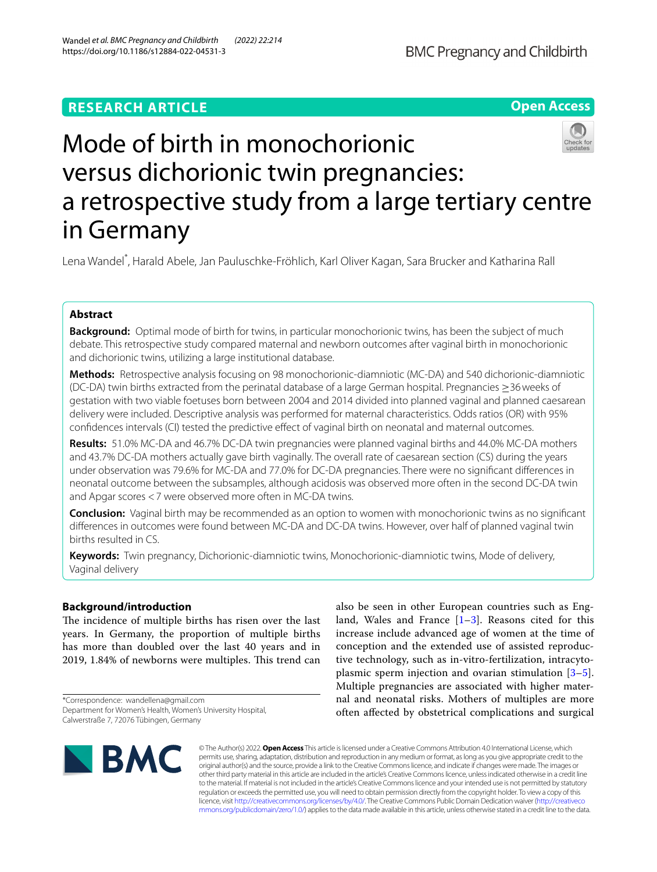## **RESEARCH ARTICLE**

**Open Access**

# Mode of birth in monochorionic versus dichorionic twin pregnancies: a retrospective study from a large tertiary centre in Germany

Lena Wandel\* , Harald Abele, Jan Pauluschke‑Fröhlich, Karl Oliver Kagan, Sara Brucker and Katharina Rall

## **Abstract**

**Background:** Optimal mode of birth for twins, in particular monochorionic twins, has been the subject of much debate. This retrospective study compared maternal and newborn outcomes after vaginal birth in monochorionic and dichorionic twins, utilizing a large institutional database.

**Methods:** Retrospective analysis focusing on 98 monochorionic-diamniotic (MC-DA) and 540 dichorionic-diamniotic (DC-DA) twin births extracted from the perinatal database of a large German hospital. Pregnancies ≥36weeks of gestation with two viable foetuses born between 2004 and 2014 divided into planned vaginal and planned caesarean delivery were included. Descriptive analysis was performed for maternal characteristics. Odds ratios (OR) with 95% confdences intervals (CI) tested the predictive efect of vaginal birth on neonatal and maternal outcomes.

**Results:** 51.0% MC-DA and 46.7% DC-DA twin pregnancies were planned vaginal births and 44.0% MC-DA mothers and 43.7% DC-DA mothers actually gave birth vaginally. The overall rate of caesarean section (CS) during the years under observation was 79.6% for MC-DA and 77.0% for DC-DA pregnancies. There were no signifcant diferences in neonatal outcome between the subsamples, although acidosis was observed more often in the second DC-DA twin and Apgar scores <7 were observed more often in MC-DA twins.

**Conclusion:** Vaginal birth may be recommended as an option to women with monochorionic twins as no signifcant diferences in outcomes were found between MC-DA and DC-DA twins. However, over half of planned vaginal twin births resulted in CS.

**Keywords:** Twin pregnancy, Dichorionic-diamniotic twins, Monochorionic-diamniotic twins, Mode of delivery, Vaginal delivery

## **Background/introduction**

The incidence of multiple births has risen over the last years. In Germany, the proportion of multiple births has more than doubled over the last 40 years and in 2019, 1.84% of newborns were multiples. This trend can

\*Correspondence: wandellena@gmail.com Department for Women's Health, Women's University Hospital, Calwerstraße 7, 72076 Tübingen, Germany

also be seen in other European countries such as England, Wales and France  $[1-3]$  $[1-3]$ . Reasons cited for this increase include advanced age of women at the time of conception and the extended use of assisted reproductive technology, such as in-vitro-fertilization, intracytoplasmic sperm injection and ovarian stimulation [\[3](#page-6-1)[–5](#page-6-2)]. Multiple pregnancies are associated with higher maternal and neonatal risks. Mothers of multiples are more often afected by obstetrical complications and surgical



© The Author(s) 2022. **Open Access** This article is licensed under a Creative Commons Attribution 4.0 International License, which permits use, sharing, adaptation, distribution and reproduction in any medium or format, as long as you give appropriate credit to the original author(s) and the source, provide a link to the Creative Commons licence, and indicate if changes were made. The images or other third party material in this article are included in the article's Creative Commons licence, unless indicated otherwise in a credit line to the material. If material is not included in the article's Creative Commons licence and your intended use is not permitted by statutory regulation or exceeds the permitted use, you will need to obtain permission directly from the copyright holder. To view a copy of this licence, visit [http://creativecommons.org/licenses/by/4.0/.](http://creativecommons.org/licenses/by/4.0/) The Creative Commons Public Domain Dedication waiver ([http://creativeco](http://creativecommons.org/publicdomain/zero/1.0/) [mmons.org/publicdomain/zero/1.0/](http://creativecommons.org/publicdomain/zero/1.0/)) applies to the data made available in this article, unless otherwise stated in a credit line to the data.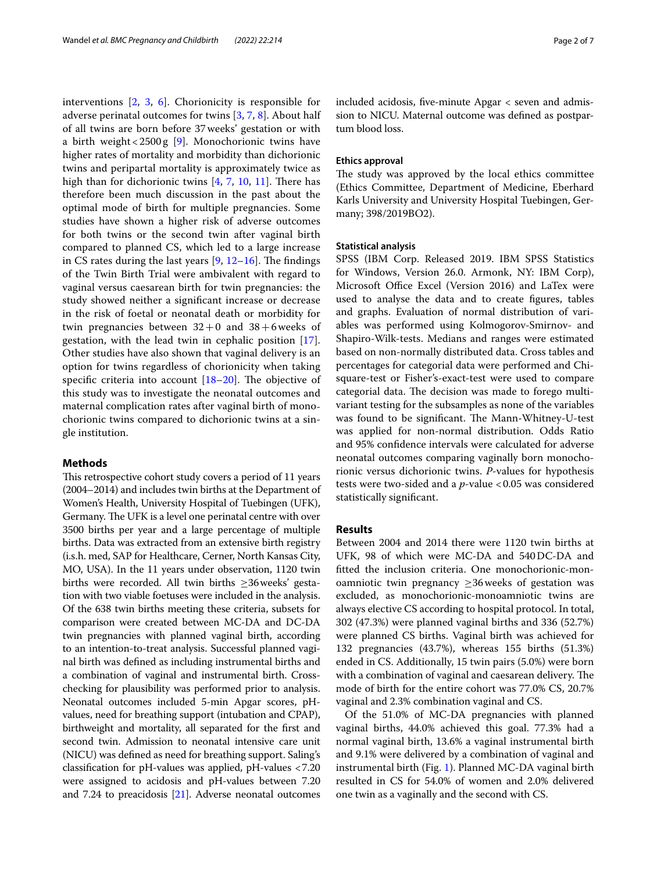interventions [[2,](#page-6-3) [3](#page-6-1), [6](#page-6-4)]. Chorionicity is responsible for adverse perinatal outcomes for twins [\[3](#page-6-1), [7,](#page-6-5) [8\]](#page-6-6). About half of all twins are born before 37weeks' gestation or with a birth weight <  $2500 g$  [\[9](#page-6-7)]. Monochorionic twins have higher rates of mortality and morbidity than dichorionic twins and peripartal mortality is approximately twice as high than for dichorionic twins  $[4, 7, 10, 11]$  $[4, 7, 10, 11]$  $[4, 7, 10, 11]$  $[4, 7, 10, 11]$  $[4, 7, 10, 11]$  $[4, 7, 10, 11]$  $[4, 7, 10, 11]$  $[4, 7, 10, 11]$  $[4, 7, 10, 11]$ . There has therefore been much discussion in the past about the optimal mode of birth for multiple pregnancies. Some studies have shown a higher risk of adverse outcomes for both twins or the second twin after vaginal birth compared to planned CS, which led to a large increase in CS rates during the last years  $[9, 12-16]$  $[9, 12-16]$  $[9, 12-16]$  $[9, 12-16]$ . The findings of the Twin Birth Trial were ambivalent with regard to vaginal versus caesarean birth for twin pregnancies: the study showed neither a signifcant increase or decrease in the risk of foetal or neonatal death or morbidity for twin pregnancies between  $32+0$  and  $38+6$  weeks of gestation, with the lead twin in cephalic position [\[17](#page-6-13)]. Other studies have also shown that vaginal delivery is an option for twins regardless of chorionicity when taking specific criteria into account  $[18–20]$  $[18–20]$  $[18–20]$ . The objective of this study was to investigate the neonatal outcomes and maternal complication rates after vaginal birth of monochorionic twins compared to dichorionic twins at a single institution.

## **Methods**

This retrospective cohort study covers a period of 11 years (2004–2014) and includes twin births at the Department of Women's Health, University Hospital of Tuebingen (UFK), Germany. The UFK is a level one perinatal centre with over 3500 births per year and a large percentage of multiple births. Data was extracted from an extensive birth registry (i.s.h. med, SAP for Healthcare, Cerner, North Kansas City, MO, USA). In the 11 years under observation, 1120 twin births were recorded. All twin births ≥36weeks' gestation with two viable foetuses were included in the analysis. Of the 638 twin births meeting these criteria, subsets for comparison were created between MC-DA and DC-DA twin pregnancies with planned vaginal birth, according to an intention-to-treat analysis. Successful planned vaginal birth was defned as including instrumental births and a combination of vaginal and instrumental birth. Crosschecking for plausibility was performed prior to analysis. Neonatal outcomes included 5-min Apgar scores, pHvalues, need for breathing support (intubation and CPAP), birthweight and mortality, all separated for the frst and second twin. Admission to neonatal intensive care unit (NICU) was defned as need for breathing support. Saling's classifcation for pH-values was applied, pH-values <7.20 were assigned to acidosis and pH-values between 7.20 and 7.24 to preacidosis [[21](#page-6-16)]. Adverse neonatal outcomes included acidosis, fve-minute Apgar < seven and admission to NICU. Maternal outcome was defned as postpartum blood loss.

#### **Ethics approval**

The study was approved by the local ethics committee (Ethics Committee, Department of Medicine, Eberhard Karls University and University Hospital Tuebingen, Germany; 398/2019BO2).

#### **Statistical analysis**

SPSS (IBM Corp. Released 2019. IBM SPSS Statistics for Windows, Version 26.0. Armonk, NY: IBM Corp), Microsoft Office Excel (Version 2016) and LaTex were used to analyse the data and to create fgures, tables and graphs. Evaluation of normal distribution of variables was performed using Kolmogorov-Smirnov- and Shapiro-Wilk-tests. Medians and ranges were estimated based on non-normally distributed data. Cross tables and percentages for categorial data were performed and Chisquare-test or Fisher's-exact-test were used to compare categorial data. The decision was made to forego multivariant testing for the subsamples as none of the variables was found to be significant. The Mann-Whitney-U-test was applied for non-normal distribution. Odds Ratio and 95% confdence intervals were calculated for adverse neonatal outcomes comparing vaginally born monochorionic versus dichorionic twins. *P*-values for hypothesis tests were two-sided and a *p*-value <0.05 was considered statistically signifcant.

#### **Results**

Between 2004 and 2014 there were 1120 twin births at UFK, 98 of which were MC-DA and 540DC-DA and ftted the inclusion criteria. One monochorionic-monoamniotic twin pregnancy ≥36weeks of gestation was excluded, as monochorionic-monoamniotic twins are always elective CS according to hospital protocol. In total, 302 (47.3%) were planned vaginal births and 336 (52.7%) were planned CS births. Vaginal birth was achieved for 132 pregnancies (43.7%), whereas 155 births (51.3%) ended in CS. Additionally, 15 twin pairs (5.0%) were born with a combination of vaginal and caesarean delivery. The mode of birth for the entire cohort was 77.0% CS, 20.7% vaginal and 2.3% combination vaginal and CS.

Of the 51.0% of MC-DA pregnancies with planned vaginal births, 44.0% achieved this goal. 77.3% had a normal vaginal birth, 13.6% a vaginal instrumental birth and 9.1% were delivered by a combination of vaginal and instrumental birth (Fig. [1\)](#page-2-0). Planned MC-DA vaginal birth resulted in CS for 54.0% of women and 2.0% delivered one twin as a vaginally and the second with CS.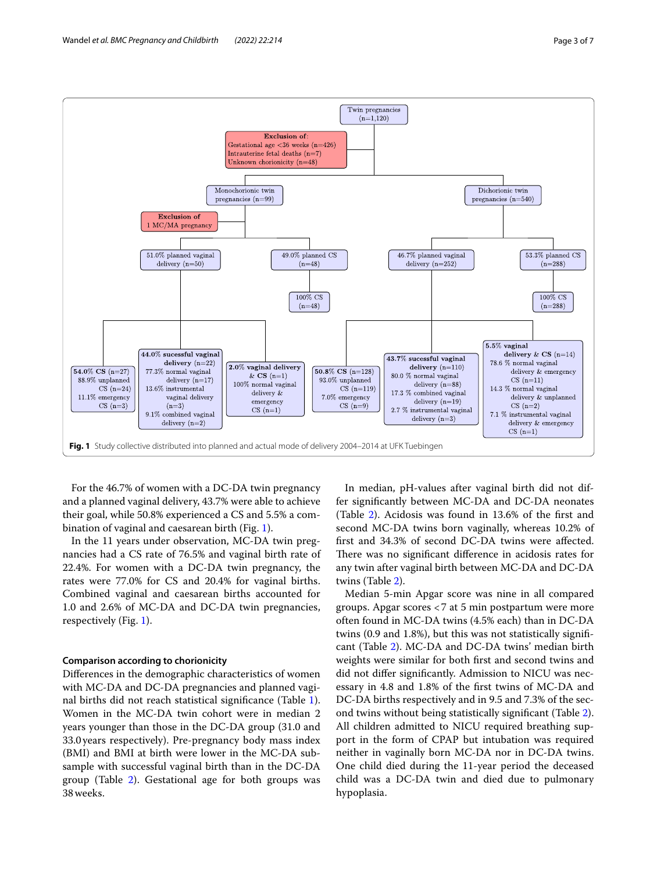

<span id="page-2-0"></span>For the 46.7% of women with a DC-DA twin pregnancy and a planned vaginal delivery, 43.7% were able to achieve their goal, while 50.8% experienced a CS and 5.5% a combination of vaginal and caesarean birth (Fig. [1](#page-2-0)).

In the 11 years under observation, MC-DA twin pregnancies had a CS rate of 76.5% and vaginal birth rate of 22.4%. For women with a DC-DA twin pregnancy, the rates were 77.0% for CS and 20.4% for vaginal births. Combined vaginal and caesarean births accounted for 1.0 and 2.6% of MC-DA and DC-DA twin pregnancies, respectively (Fig. [1\)](#page-2-0).

## **Comparison according to chorionicity**

Diferences in the demographic characteristics of women with MC-DA and DC-DA pregnancies and planned vaginal births did not reach statistical signifcance (Table [1](#page-3-0)). Women in the MC-DA twin cohort were in median 2 years younger than those in the DC-DA group (31.0 and 33.0years respectively). Pre-pregnancy body mass index (BMI) and BMI at birth were lower in the MC-DA subsample with successful vaginal birth than in the DC-DA group (Table [2](#page-4-0)). Gestational age for both groups was 38weeks.

In median, pH-values after vaginal birth did not differ signifcantly between MC-DA and DC-DA neonates (Table [2](#page-4-0)). Acidosis was found in 13.6% of the frst and second MC-DA twins born vaginally, whereas 10.2% of frst and 34.3% of second DC-DA twins were afected. There was no significant difference in acidosis rates for any twin after vaginal birth between MC-DA and DC-DA twins (Table [2](#page-4-0)).

Median 5-min Apgar score was nine in all compared groups. Apgar scores <7 at 5 min postpartum were more often found in MC-DA twins (4.5% each) than in DC-DA twins (0.9 and 1.8%), but this was not statistically signifcant (Table [2](#page-4-0)). MC-DA and DC-DA twins' median birth weights were similar for both frst and second twins and did not difer signifcantly. Admission to NICU was necessary in 4.8 and 1.8% of the frst twins of MC-DA and DC-DA births respectively and in 9.5 and 7.3% of the second twins without being statistically signifcant (Table [2](#page-4-0)). All children admitted to NICU required breathing support in the form of CPAP but intubation was required neither in vaginally born MC-DA nor in DC-DA twins. One child died during the 11-year period the deceased child was a DC-DA twin and died due to pulmonary hypoplasia.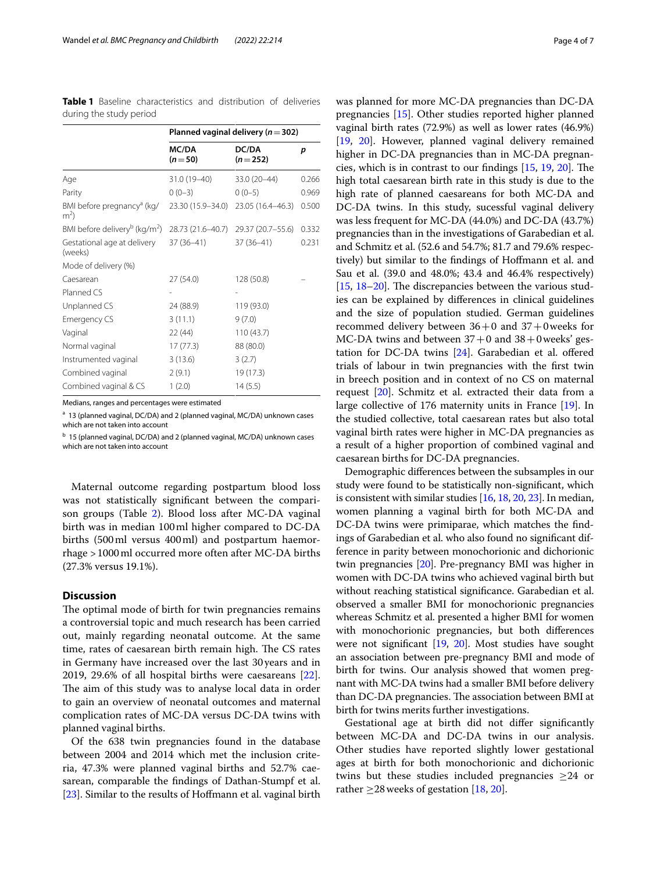<span id="page-3-0"></span>

|                         | <b>Table 1</b> Baseline characteristics and distribution of deliveries |  |  |
|-------------------------|------------------------------------------------------------------------|--|--|
| during the study period |                                                                        |  |  |

|                                                                         | Planned vaginal delivery ( $n = 302$ ) |                    |       |  |  |
|-------------------------------------------------------------------------|----------------------------------------|--------------------|-------|--|--|
|                                                                         | MC/DA<br>$(n=50)$                      | DC/DA<br>$(n=252)$ | p     |  |  |
| Age                                                                     | 31.0 (19-40)                           | 33.0 (20-44)       | 0.266 |  |  |
| Parity                                                                  | $0(0-3)$                               | $0(0-5)$           | 0.969 |  |  |
| BMI before pregnancy <sup>a</sup> (kg/<br>m <sup>2</sup>                | 23.30 (15.9–34.0)                      | 23.05 (16.4-46.3)  | 0.500 |  |  |
| BMI before delivery <sup>b</sup> (kg/m <sup>2</sup> ) 28.73 (21.6–40.7) |                                        | 29.37 (20.7-55.6)  | 0.332 |  |  |
| Gestational age at delivery<br>(weeks)                                  | $37(36-41)$                            | $37(36-41)$        | 0.231 |  |  |
| Mode of delivery (%)                                                    |                                        |                    |       |  |  |
| Caesarean                                                               | 27 (54.0)                              | 128 (50.8)         |       |  |  |
| Planned CS                                                              |                                        |                    |       |  |  |
| Unplanned CS                                                            | 24 (88.9)                              | 119 (93.0)         |       |  |  |
| <b>Emergency CS</b>                                                     | 3(11.1)                                | 9(7.0)             |       |  |  |
| Vaginal                                                                 | 22(44)                                 | 110(43.7)          |       |  |  |
| Normal vaginal                                                          | 17(77.3)                               | 88 (80.0)          |       |  |  |
| Instrumented vaginal                                                    | 3(13.6)                                | 3(2.7)             |       |  |  |
| Combined vaginal                                                        | 2(9.1)                                 | 19 (17.3)          |       |  |  |
| Combined vaginal & CS                                                   | 1(2.0)                                 | 14(5.5)            |       |  |  |

Medians, ranges and percentages were estimated

<sup>a</sup> 13 (planned vaginal, DC/DA) and 2 (planned vaginal, MC/DA) unknown cases which are not taken into account

<sup>b</sup> 15 (planned vaginal, DC/DA) and 2 (planned vaginal, MC/DA) unknown cases which are not taken into account

Maternal outcome regarding postpartum blood loss was not statistically signifcant between the comparison groups (Table [2\)](#page-4-0). Blood loss after MC-DA vaginal birth was in median 100ml higher compared to DC-DA births (500ml versus 400ml) and postpartum haemorrhage >1000ml occurred more often after MC-DA births (27.3% versus 19.1%).

## **Discussion**

The optimal mode of birth for twin pregnancies remains a controversial topic and much research has been carried out, mainly regarding neonatal outcome. At the same time, rates of caesarean birth remain high. The CS rates in Germany have increased over the last 30years and in 2019, 29.6% of all hospital births were caesareans [\[22](#page-6-17)]. The aim of this study was to analyse local data in order to gain an overview of neonatal outcomes and maternal complication rates of MC-DA versus DC-DA twins with planned vaginal births.

Of the 638 twin pregnancies found in the database between 2004 and 2014 which met the inclusion criteria, 47.3% were planned vaginal births and 52.7% caesarean, comparable the fndings of Dathan-Stumpf et al. [[23\]](#page-6-18). Similar to the results of Hoffmann et al. vaginal birth was planned for more MC-DA pregnancies than DC-DA pregnancies [[15\]](#page-6-19). Other studies reported higher planned vaginal birth rates (72.9%) as well as lower rates (46.9%) [[19,](#page-6-20) [20](#page-6-15)]. However, planned vaginal delivery remained higher in DC-DA pregnancies than in MC-DA pregnancies, which is in contrast to our findings  $[15, 19, 20]$  $[15, 19, 20]$  $[15, 19, 20]$  $[15, 19, 20]$  $[15, 19, 20]$  $[15, 19, 20]$  $[15, 19, 20]$ . The high total caesarean birth rate in this study is due to the high rate of planned caesareans for both MC-DA and DC-DA twins. In this study, sucessful vaginal delivery was less frequent for MC-DA (44.0%) and DC-DA (43.7%) pregnancies than in the investigations of Garabedian et al. and Schmitz et al. (52.6 and 54.7%; 81.7 and 79.6% respectively) but similar to the fndings of Hofmann et al. and Sau et al. (39.0 and 48.0%; 43.4 and 46.4% respectively) [[15,](#page-6-19)  $18-20$  $18-20$ ]. The discrepancies between the various studies can be explained by diferences in clinical guidelines and the size of population studied. German guidelines recommed delivery between 36+0 and 37+0weeks for MC-DA twins and between  $37+0$  and  $38+0$  weeks' gestation for DC-DA twins [[24\]](#page-6-21). Garabedian et al. ofered trials of labour in twin pregnancies with the frst twin in breech position and in context of no CS on maternal request [\[20\]](#page-6-15). Schmitz et al. extracted their data from a large collective of 176 maternity units in France [\[19](#page-6-20)]. In the studied collective, total caesarean rates but also total vaginal birth rates were higher in MC-DA pregnancies as a result of a higher proportion of combined vaginal and caesarean births for DC-DA pregnancies.

Demographic diferences between the subsamples in our study were found to be statistically non-signifcant, which is consistent with similar studies [[16](#page-6-12), [18](#page-6-14), [20,](#page-6-15) [23\]](#page-6-18). In median, women planning a vaginal birth for both MC-DA and DC-DA twins were primiparae, which matches the fndings of Garabedian et al. who also found no signifcant difference in parity between monochorionic and dichorionic twin pregnancies [[20](#page-6-15)]. Pre-pregnancy BMI was higher in women with DC-DA twins who achieved vaginal birth but without reaching statistical signifcance. Garabedian et al. observed a smaller BMI for monochorionic pregnancies whereas Schmitz et al. presented a higher BMI for women with monochorionic pregnancies, but both diferences were not signifcant [\[19,](#page-6-20) [20](#page-6-15)]. Most studies have sought an association between pre-pregnancy BMI and mode of birth for twins. Our analysis showed that women pregnant with MC-DA twins had a smaller BMI before delivery than DC-DA pregnancies. The association between BMI at birth for twins merits further investigations.

Gestational age at birth did not difer signifcantly between MC-DA and DC-DA twins in our analysis. Other studies have reported slightly lower gestational ages at birth for both monochorionic and dichorionic twins but these studies included pregnancies  $\geq$ 24 or rather  $\geq$  28 weeks of gestation [[18](#page-6-14), [20\]](#page-6-15).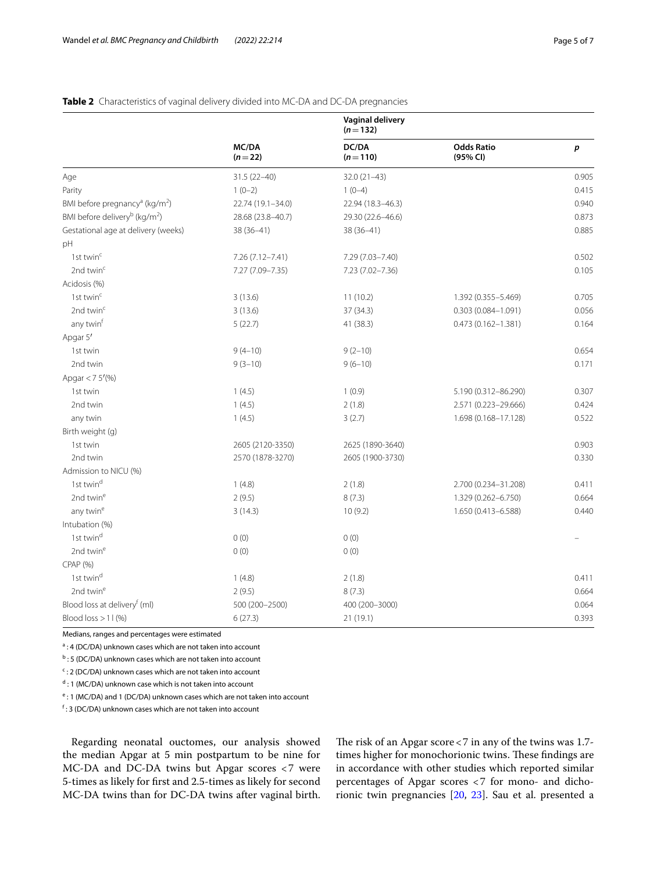## <span id="page-4-0"></span>**Table 2** Characteristics of vaginal delivery divided into MC-DA and DC-DA pregnancies

|                                                        |                   | <b>Vaginal delivery</b><br>$(n=132)$ |                               |       |  |  |
|--------------------------------------------------------|-------------------|--------------------------------------|-------------------------------|-------|--|--|
|                                                        | MC/DA<br>$(n=22)$ | DC/DA<br>$(n=110)$                   | <b>Odds Ratio</b><br>(95% CI) | p     |  |  |
| Age                                                    | $31.5(22 - 40)$   | $32.0(21-43)$                        |                               | 0.905 |  |  |
| Parity                                                 | $1(0-2)$          | $1(0-4)$                             |                               | 0.415 |  |  |
| BMI before pregnancy <sup>a</sup> (kg/m <sup>2</sup> ) | 22.74 (19.1-34.0) | 22.94 (18.3-46.3)                    |                               | 0.940 |  |  |
| BMI before delivery <sup>b</sup> (kg/m <sup>2</sup> )  | 28.68 (23.8-40.7) | 29.30 (22.6-46.6)                    |                               | 0.873 |  |  |
| Gestational age at delivery (weeks)                    | 38 (36-41)        | 38 (36-41)                           |                               | 0.885 |  |  |
| pH                                                     |                   |                                      |                               |       |  |  |
| 1st twin <sup>c</sup>                                  | 7.26 (7.12-7.41)  | 7.29 (7.03-7.40)                     |                               | 0.502 |  |  |
| 2nd twin <sup>c</sup>                                  | 7.27 (7.09-7.35)  | 7.23 (7.02-7.36)                     |                               | 0.105 |  |  |
| Acidosis (%)                                           |                   |                                      |                               |       |  |  |
| 1st twin $c$                                           | 3(13.6)           | 11(10.2)                             | 1.392 (0.355-5.469)           | 0.705 |  |  |
| 2nd twin <sup>c</sup>                                  | 3(13.6)           | 37 (34.3)                            | 0.303 (0.084-1.091)           | 0.056 |  |  |
| any twin <sup>t</sup>                                  | 5(22.7)           | 41 (38.3)                            | $0.473(0.162 - 1.381)$        | 0.164 |  |  |
| Apgar 5'                                               |                   |                                      |                               |       |  |  |
| 1st twin                                               | $9(4-10)$         | $9(2-10)$                            |                               | 0.654 |  |  |
| 2nd twin                                               | $9(3-10)$         | $9(6-10)$                            |                               | 0.171 |  |  |
| Apgar < $75'(%)$                                       |                   |                                      |                               |       |  |  |
| 1st twin                                               | 1(4.5)            | 1(0.9)                               | 5.190 (0.312-86.290)          | 0.307 |  |  |
| 2nd twin                                               | 1(4.5)            | 2(1.8)                               | 2.571 (0.223-29.666)          | 0.424 |  |  |
| any twin                                               | 1(4.5)            | 3(2.7)                               | 1.698 (0.168-17.128)          | 0.522 |  |  |
| Birth weight (g)                                       |                   |                                      |                               |       |  |  |
| 1st twin                                               | 2605 (2120-3350)  | 2625 (1890-3640)                     |                               | 0.903 |  |  |
| 2nd twin                                               | 2570 (1878-3270)  | 2605 (1900-3730)                     |                               | 0.330 |  |  |
| Admission to NICU (%)                                  |                   |                                      |                               |       |  |  |
| 1st twin <sup>d</sup>                                  | 1(4.8)            | 2(1.8)                               | 2.700 (0.234-31.208)          | 0.411 |  |  |
| 2nd twin <sup>e</sup>                                  | 2(9.5)            | 8(7.3)                               | 1.329 (0.262-6.750)           | 0.664 |  |  |
| any twin <sup>e</sup>                                  | 3(14.3)           | 10(9.2)                              | 1.650 (0.413-6.588)           | 0.440 |  |  |
| Intubation (%)                                         |                   |                                      |                               |       |  |  |
| 1st twin <sup>d</sup>                                  | 0(0)              | 0(0)                                 |                               |       |  |  |
| 2nd twin <sup>e</sup>                                  | 0(0)              | 0(0)                                 |                               |       |  |  |
| CPAP (%)                                               |                   |                                      |                               |       |  |  |
| 1st twin <sup>d</sup>                                  | 1(4.8)            | 2(1.8)                               |                               | 0.411 |  |  |
| 2nd twin <sup>e</sup>                                  | 2(9.5)            | 8(7.3)                               |                               | 0.664 |  |  |
| Blood loss at delivery <sup>f</sup> (ml)               | 500 (200-2500)    | 400 (200-3000)                       |                               | 0.064 |  |  |
| Blood loss $> 11$ (%)                                  | 6(27.3)           | 21(19.1)                             |                               | 0.393 |  |  |

Medians, ranges and percentages were estimated

<sup>a</sup>: 4 (DC/DA) unknown cases which are not taken into account

<sup>b</sup>: 5 (DC/DA) unknown cases which are not taken into account

<sup>c</sup>: 2 (DC/DA) unknown cases which are not taken into account

<sup>d</sup> : 1 (MC/DA) unknown case which is not taken into account

<sup>e</sup>: 1 (MC/DA) and 1 (DC/DA) unknown cases which are not taken into account

f : 3 (DC/DA) unknown cases which are not taken into account

Regarding neonatal ouctomes, our analysis showed the median Apgar at 5 min postpartum to be nine for MC-DA and DC-DA twins but Apgar scores <7 were 5-times as likely for frst and 2.5-times as likely for second MC-DA twins than for DC-DA twins after vaginal birth.

The risk of an Apgar score  $<$  7 in any of the twins was 1.7times higher for monochorionic twins. These findings are in accordance with other studies which reported similar percentages of Apgar scores <7 for mono- and dichorionic twin pregnancies [\[20](#page-6-15), [23](#page-6-18)]. Sau et al. presented a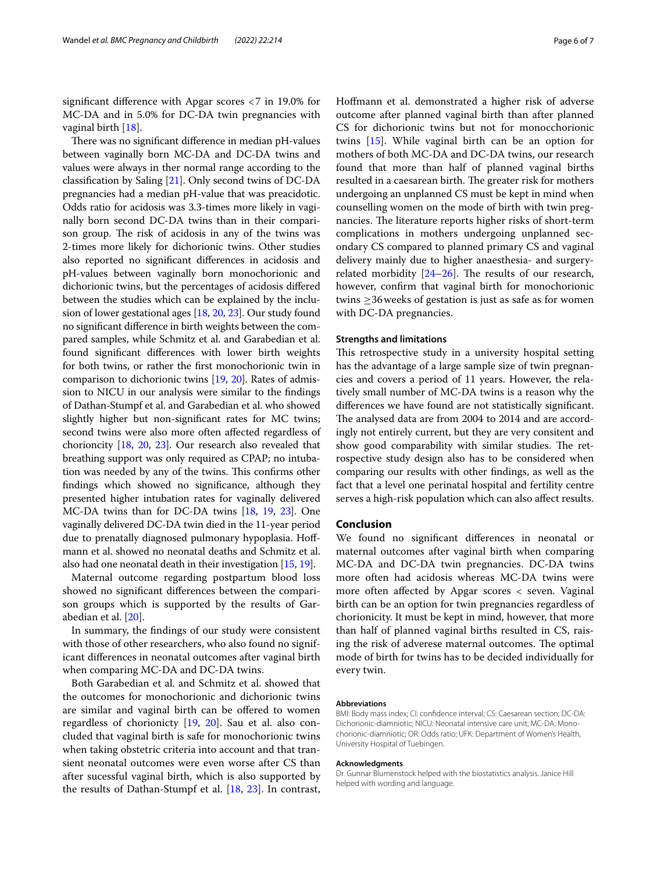signifcant diference with Apgar scores <7 in 19.0% for MC-DA and in 5.0% for DC-DA twin pregnancies with vaginal birth [[18\]](#page-6-14).

There was no significant difference in median pH-values between vaginally born MC-DA and DC-DA twins and values were always in ther normal range according to the classifcation by Saling [\[21\]](#page-6-16). Only second twins of DC-DA pregnancies had a median pH-value that was preacidotic. Odds ratio for acidosis was 3.3-times more likely in vaginally born second DC-DA twins than in their comparison group. The risk of acidosis in any of the twins was 2-times more likely for dichorionic twins. Other studies also reported no signifcant diferences in acidosis and pH-values between vaginally born monochorionic and dichorionic twins, but the percentages of acidosis difered between the studies which can be explained by the inclusion of lower gestational ages [[18](#page-6-14), [20](#page-6-15), [23](#page-6-18)]. Our study found no signifcant diference in birth weights between the compared samples, while Schmitz et al. and Garabedian et al. found signifcant diferences with lower birth weights for both twins, or rather the frst monochorionic twin in comparison to dichorionic twins [[19](#page-6-20), [20](#page-6-15)]. Rates of admission to NICU in our analysis were similar to the fndings of Dathan-Stumpf et al. and Garabedian et al. who showed slightly higher but non-signifcant rates for MC twins; second twins were also more often afected regardless of chorioncity [\[18](#page-6-14), [20,](#page-6-15) [23](#page-6-18)]. Our research also revealed that breathing support was only required as CPAP; no intubation was needed by any of the twins. This confirms other fndings which showed no signifcance, although they presented higher intubation rates for vaginally delivered MC-DA twins than for DC-DA twins [\[18,](#page-6-14) [19,](#page-6-20) [23\]](#page-6-18). One vaginally delivered DC-DA twin died in the 11-year period due to prenatally diagnosed pulmonary hypoplasia. Hofmann et al. showed no neonatal deaths and Schmitz et al. also had one neonatal death in their investigation [\[15](#page-6-19), [19](#page-6-20)].

Maternal outcome regarding postpartum blood loss showed no signifcant diferences between the comparison groups which is supported by the results of Garabedian et al. [[20\]](#page-6-15).

In summary, the fndings of our study were consistent with those of other researchers, who also found no significant diferences in neonatal outcomes after vaginal birth when comparing MC-DA and DC-DA twins.

Both Garabedian et al. and Schmitz et al. showed that the outcomes for monochorionic and dichorionic twins are similar and vaginal birth can be offered to women regardless of chorionicty [[19](#page-6-20), [20](#page-6-15)]. Sau et al. also concluded that vaginal birth is safe for monochorionic twins when taking obstetric criteria into account and that transient neonatal outcomes were even worse after CS than after sucessful vaginal birth, which is also supported by the results of Dathan-Stumpf et al. [\[18](#page-6-14), [23\]](#page-6-18). In contrast, Hofmann et al. demonstrated a higher risk of adverse outcome after planned vaginal birth than after planned CS for dichorionic twins but not for monocchorionic twins [\[15](#page-6-19)]. While vaginal birth can be an option for mothers of both MC-DA and DC-DA twins, our research found that more than half of planned vaginal births resulted in a caesarean birth. The greater risk for mothers undergoing an unplanned CS must be kept in mind when counselling women on the mode of birth with twin pregnancies. The literature reports higher risks of short-term complications in mothers undergoing unplanned secondary CS compared to planned primary CS and vaginal delivery mainly due to higher anaesthesia- and surgeryrelated morbidity  $[24-26]$  $[24-26]$ . The results of our research, however, confrm that vaginal birth for monochorionic twins ≥36weeks of gestation is just as safe as for women with DC-DA pregnancies.

#### **Strengths and limitations**

This retrospective study in a university hospital setting has the advantage of a large sample size of twin pregnancies and covers a period of 11 years. However, the relatively small number of MC-DA twins is a reason why the diferences we have found are not statistically signifcant. The analysed data are from 2004 to 2014 and are accordingly not entirely current, but they are very consitent and show good comparability with similar studies. The retrospective study design also has to be considered when comparing our results with other fndings, as well as the fact that a level one perinatal hospital and fertility centre serves a high-risk population which can also afect results.

## **Conclusion**

We found no signifcant diferences in neonatal or maternal outcomes after vaginal birth when comparing MC-DA and DC-DA twin pregnancies. DC-DA twins more often had acidosis whereas MC-DA twins were more often afected by Apgar scores < seven. Vaginal birth can be an option for twin pregnancies regardless of chorionicity. It must be kept in mind, however, that more than half of planned vaginal births resulted in CS, raising the risk of adverese maternal outcomes. The optimal mode of birth for twins has to be decided individually for every twin.

#### **Abbreviations**

BMI: Body mass index; CI: confdence interval; CS: Caesarean section; DC-DA: Dichorionic-diamniotic; NICU: Neonatal intensive care unit; MC-DA: Monochorionic-diamniotic; OR: Odds ratio; UFK: Department of Women's Health, University Hospital of Tuebingen.

#### **Acknowledgments**

Dr. Gunnar Blumenstock helped with the biostatistics analysis. Janice Hill helped with wording and language.